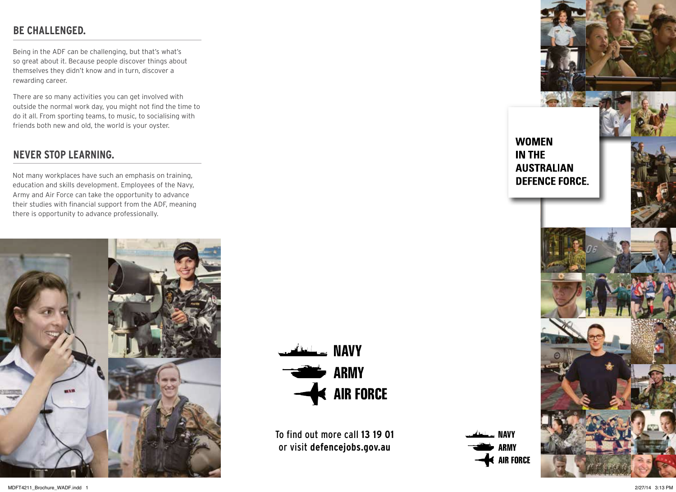# **BE CHALLENGED.**

Being in the ADF can be challenging, but that's what's so great about it. Because people discover things about themselves they didn't know and in turn, discover a rewarding career.

There are so many activities you can get involved with outside the normal work day, you might not find the time to do it all. From sporting teams, to music, to socialising with friends both new and old, the world is your oyster.

### **NEVER STOP LEARNING.**

Not many workplaces have such an emphasis on training, education and skills development. Employees of the Navy, Army and Air Force can take the opportunity to advance their studies with financial support from the ADF, meaning there is opportunity to advance professionally.



WAVY NAVY **The ARMY** AIR FORCE

To find out more call **13 19 01** or visit **defencejobs.gov.au**

**NAVY ARMY**  $\triangleleft$  air force